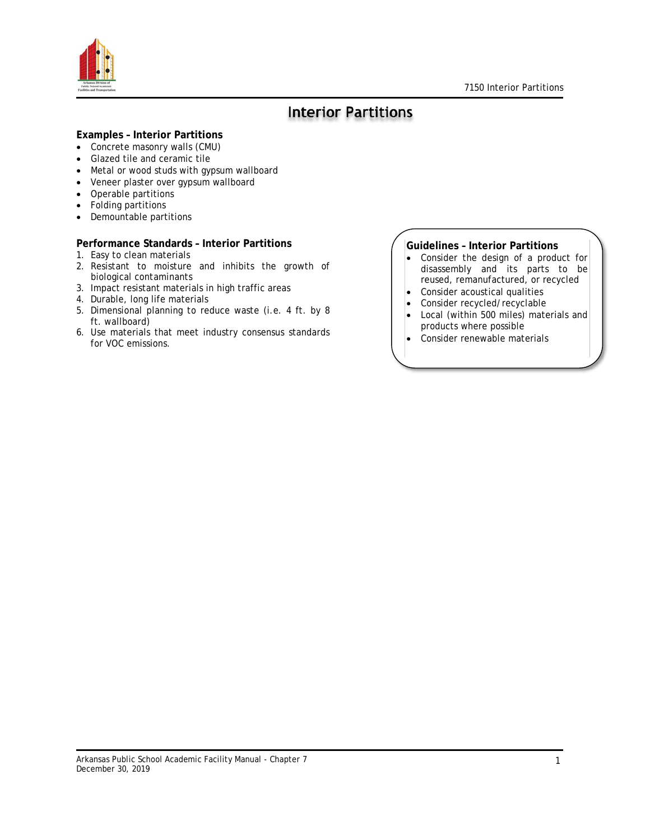

### **Interior Partitions**

### **Examples – Interior Partitions**

- Concrete masonry walls (CMU)
- Glazed tile and ceramic tile
- Metal or wood studs with gypsum wallboard
- Veneer plaster over gypsum wallboard
- Operable partitions
- Folding partitions
- Demountable partitions

### **Performance Standards – Interior Partitions**

- 1. Easy to clean materials
- 2. Resistant to moisture and inhibits the growth of biological contaminants
- 3. Impact resistant materials in high traffic areas
- 4. Durable, long life materials
- 5. Dimensional planning to reduce waste (i.e. 4 ft. by 8 ft. wallboard)
- 6. Use materials that meet industry consensus standards for VOC emissions.

### **Guidelines – Interior Partitions**

- Consider the design of a product for disassembly and its parts to be reused, remanufactured, or recycled
- Consider acoustical qualities
- Consider recycled/recyclable
- Local (within 500 miles) materials and products where possible
- Consider renewable materials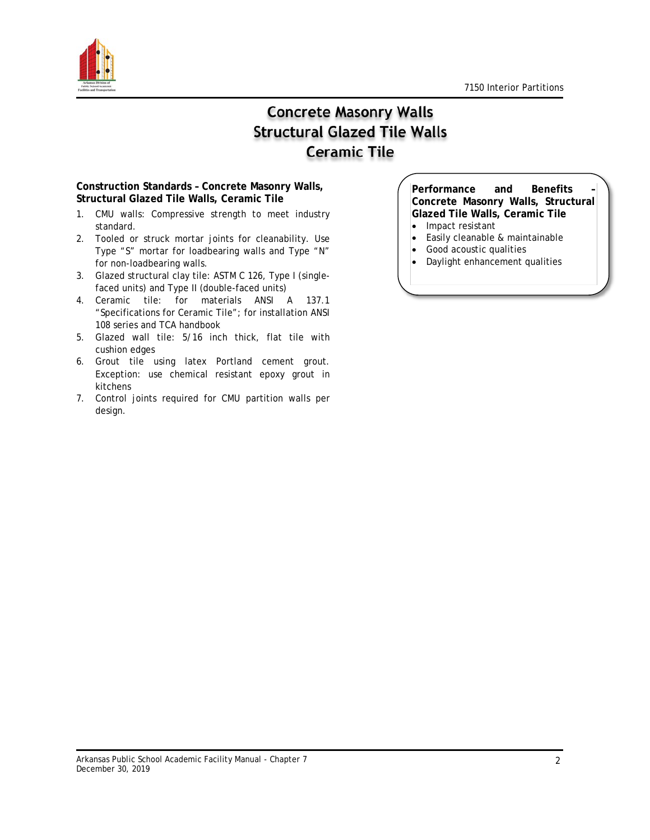

# **Concrete Masonry Walls Structural Glazed Tile Walls Ceramic Tile**

### **Construction Standards – Concrete Masonry Walls, Structural Glazed Tile Walls, Ceramic Tile**

- 1. CMU walls: Compressive strength to meet industry standard.
- 2. Tooled or struck mortar joints for cleanability. Use Type "S" mortar for loadbearing walls and Type "N" for non-loadbearing walls.
- 3. Glazed structural clay tile: ASTM C 126, Type I (singlefaced units) and Type II (double-faced units)
- 4. Ceramic tile: for materials ANSI A 137.1 "Specifications for Ceramic Tile"; for installation ANSI 108 series and TCA handbook
- 5. Glazed wall tile: 5/16 inch thick, flat tile with cushion edges
- 6. Grout tile using latex Portland cement grout. Exception: use chemical resistant epoxy grout in kitchens
- 7. Control joints required for CMU partition walls per design.

**Performance and Benefits – Concrete Masonry Walls, Structural Glazed Tile Walls, Ceramic Tile**

- Impact resistant
- Easily cleanable & maintainable
- Good acoustic qualities
- Daylight enhancement qualities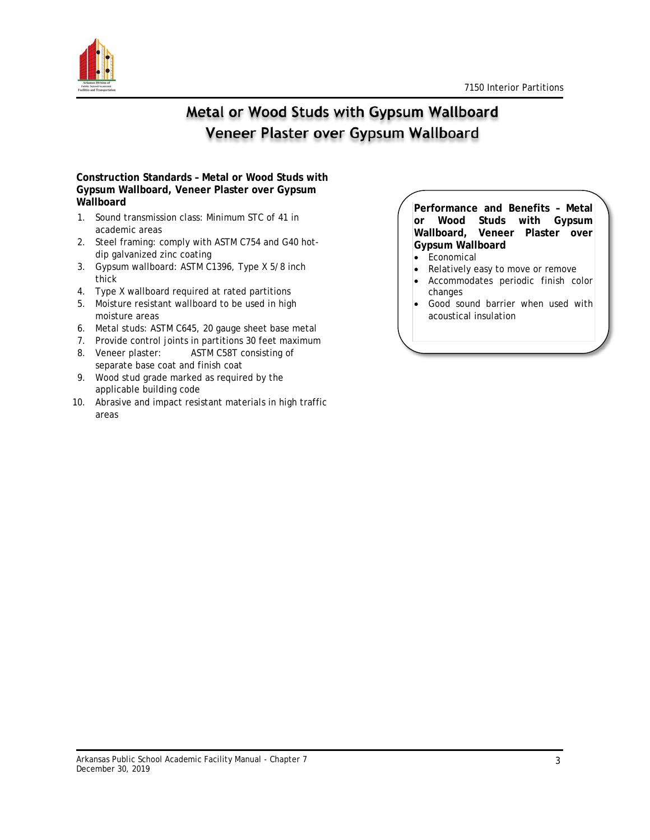

## Metal or Wood Studs with Gypsum Wallboard Veneer Plaster over Gypsum Wallboard

### **Construction Standards – Metal or Wood Studs with Gypsum Wallboard, Veneer Plaster over Gypsum Wallboard**

- 1. Sound transmission class: Minimum STC of 41 in academic areas
- 2. Steel framing: comply with ASTM C754 and G40 hotdip galvanized zinc coating
- 3. Gypsum wallboard: ASTM C1396, Type X 5/8 inch thick
- 4. Type X wallboard required at rated partitions
- 5. Moisture resistant wallboard to be used in high moisture areas
- 6. Metal studs: ASTM C645, 20 gauge sheet base metal
- 7. Provide control joints in partitions 30 feet maximum
- 8. Veneer plaster: ASTM C58T consisting of separate base coat and finish coat
- 9. Wood stud grade marked as required by the applicable building code
- 10. Abrasive and impact resistant materials in high traffic areas

**Performance and Benefits – Metal or Wood Studs with Gypsum Wallboard, Veneer Plaster over Gypsum Wallboard**

- Economical
- Relatively easy to move or remove
- Accommodates periodic finish color changes
- Good sound barrier when used with acoustical insulation